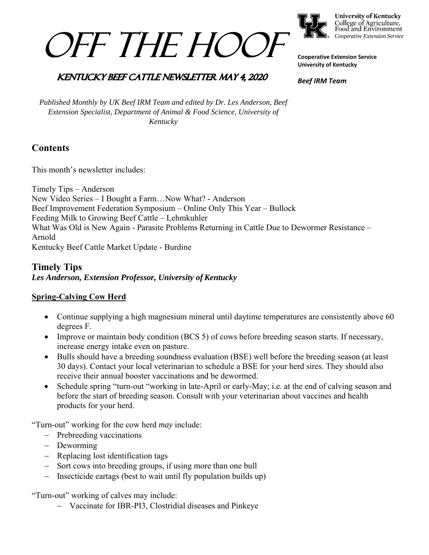



**University of Kentucky** College of Agriculture,<br>Food and Environment Cooperative Extension Service

**Cooperative Extension Service University of Kentucky** 

## **KENTUCKY BEEF CATTLE NEWSLETTER MAY 4, 2020**

*Beef IRM Team* 

*Published Monthly by UK Beef IRM Team and edited by Dr. Les Anderson, Beef Extension Specialist, Department of Animal & Food Science, University of Kentucky* 

# **Contents**

This month's newsletter includes:

Timely Tips – Anderson New Video Series – I Bought a Farm…Now What? - Anderson Beef Improvement Federation Symposium – Online Only This Year – Bullock Feeding Milk to Growing Beef Cattle – Lehmkuhler What Was Old is New Again - Parasite Problems Returning in Cattle Due to Dewormer Resistance – Arnold Kentucky Beef Cattle Market Update - Burdine

## **Timely Tips** *Les Anderson, Extension Professor, University of Kentucky*

## **Spring-Calving Cow Herd**

- Continue supplying a high magnesium mineral until daytime temperatures are consistently above 60 degrees F.
- Improve or maintain body condition (BCS 5) of cows before breeding season starts. If necessary, increase energy intake even on pasture.
- Bulls should have a breeding soundness evaluation (BSE) well before the breeding season (at least 30 days). Contact your local veterinarian to schedule a BSE for your herd sires. They should also receive their annual booster vaccinations and be dewormed.
- Schedule spring "turn-out "working in late-April or early-May; i.e. at the end of calving season and before the start of breeding season. Consult with your veterinarian about vaccines and health products for your herd.

"Turn-out" working for the cow herd *may* include:

- Prebreeding vaccinations
- Deworming
- Replacing lost identification tags
- Sort cows into breeding groups, if using more than one bull
- $-$  Insecticide eartags (best to wait until fly population builds up)

"Turn-out" working of calves may include:

Vaccinate for IBR-PI3, Clostridial diseases and Pinkeye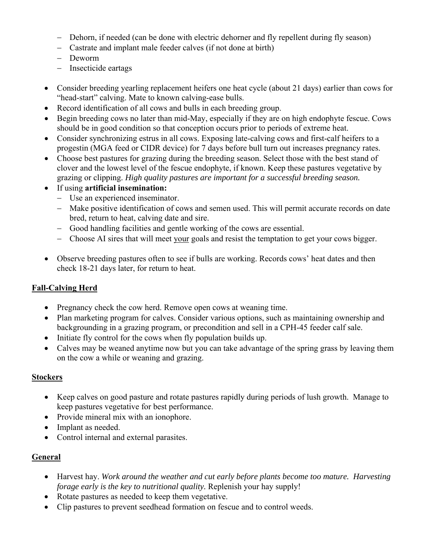- Dehorn, if needed (can be done with electric dehorner and fly repellent during fly season)
- Castrate and implant male feeder calves (if not done at birth)
- Deworm
- Insecticide eartags
- Consider breeding yearling replacement heifers one heat cycle (about 21 days) earlier than cows for "head-start" calving. Mate to known calving-ease bulls.
- Record identification of all cows and bulls in each breeding group.
- Begin breeding cows no later than mid-May, especially if they are on high endophyte fescue. Cows should be in good condition so that conception occurs prior to periods of extreme heat.
- Consider synchronizing estrus in all cows. Exposing late-calving cows and first-calf heifers to a progestin (MGA feed or CIDR device) for 7 days before bull turn out increases pregnancy rates.
- Choose best pastures for grazing during the breeding season. Select those with the best stand of clover and the lowest level of the fescue endophyte, if known. Keep these pastures vegetative by grazing or clipping. *High quality pastures are important for a successful breeding season.*
- If using **artificial insemination:**
	- Use an experienced inseminator.
	- Make positive identification of cows and semen used. This will permit accurate records on date bred, return to heat, calving date and sire.
	- Good handling facilities and gentle working of the cows are essential.
	- Choose AI sires that will meet your goals and resist the temptation to get your cows bigger.
- Observe breeding pastures often to see if bulls are working. Records cows' heat dates and then check 18-21 days later, for return to heat.

## **Fall-Calving Herd**

- Pregnancy check the cow herd. Remove open cows at weaning time.
- Plan marketing program for calves. Consider various options, such as maintaining ownership and backgrounding in a grazing program, or precondition and sell in a CPH-45 feeder calf sale.
- Initiate fly control for the cows when fly population builds up.
- Calves may be weaned anytime now but you can take advantage of the spring grass by leaving them on the cow a while or weaning and grazing.

#### **Stockers**

- Keep calves on good pasture and rotate pastures rapidly during periods of lush growth. Manage to keep pastures vegetative for best performance.
- Provide mineral mix with an ionophore.
- Implant as needed.
- Control internal and external parasites.

#### **General**

- Harvest hay. *Work around the weather and cut early before plants become too mature. Harvesting forage early is the key to nutritional quality.* Replenish your hay supply!
- Rotate pastures as needed to keep them vegetative.
- Clip pastures to prevent seedhead formation on fescue and to control weeds.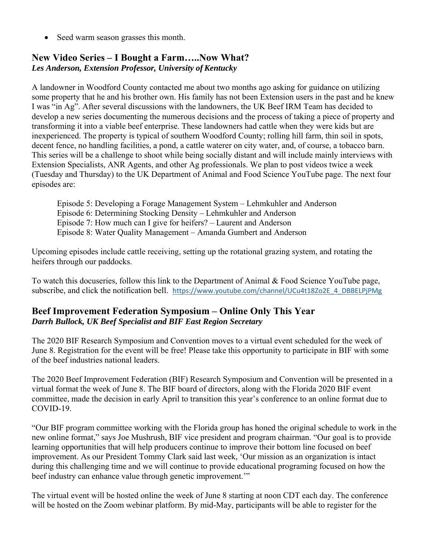• Seed warm season grasses this month.

# **New Video Series – I Bought a Farm…..Now What?**  *Les Anderson, Extension Professor, University of Kentucky*

A landowner in Woodford County contacted me about two months ago asking for guidance on utilizing some property that he and his brother own. His family has not been Extension users in the past and he knew I was "in Ag". After several discussions with the landowners, the UK Beef IRM Team has decided to develop a new series documenting the numerous decisions and the process of taking a piece of property and transforming it into a viable beef enterprise. These landowners had cattle when they were kids but are inexperienced. The property is typical of southern Woodford County; rolling hill farm, thin soil in spots, decent fence, no handling facilities, a pond, a cattle waterer on city water, and, of course, a tobacco barn. This series will be a challenge to shoot while being socially distant and will include mainly interviews with Extension Specialists, ANR Agents, and other Ag professionals. We plan to post videos twice a week (Tuesday and Thursday) to the UK Department of Animal and Food Science YouTube page. The next four episodes are:

 Episode 5: Developing a Forage Management System – Lehmkuhler and Anderson Episode 6: Determining Stocking Density – Lehmkuhler and Anderson Episode 7: How much can I give for heifers? – Laurent and Anderson Episode 8: Water Quality Management – Amanda Gumbert and Anderson

Upcoming episodes include cattle receiving, setting up the rotational grazing system, and rotating the heifers through our paddocks.

To watch this docuseries, follow this link to the Department of Animal & Food Science YouTube page, subscribe, and click the notification bell. https://www.youtube.com/channel/UCu4t18Zo2E\_4\_DBBELPjPMg

# **Beef Improvement Federation Symposium – Online Only This Year**  *Darrh Bullock, UK Beef Specialist and BIF East Region Secretary*

The 2020 BIF Research Symposium and Convention moves to a virtual event scheduled for the week of June 8. Registration for the event will be free! Please take this opportunity to participate in BIF with some of the beef industries national leaders.

The 2020 Beef Improvement Federation (BIF) Research Symposium and Convention will be presented in a virtual format the week of June 8. The BIF board of directors, along with the Florida 2020 BIF event committee, made the decision in early April to transition this year's conference to an online format due to COVID-19.

"Our BIF program committee working with the Florida group has honed the original schedule to work in the new online format," says Joe Mushrush, BIF vice president and program chairman. "Our goal is to provide learning opportunities that will help producers continue to improve their bottom line focused on beef improvement. As our President Tommy Clark said last week, 'Our mission as an organization is intact during this challenging time and we will continue to provide educational programing focused on how the beef industry can enhance value through genetic improvement.'"

The virtual event will be hosted online the week of June 8 starting at noon CDT each day. The conference will be hosted on the Zoom webinar platform. By mid-May, participants will be able to register for the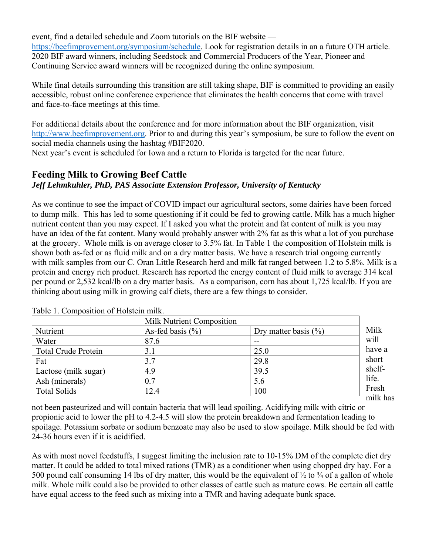event, find a detailed schedule and Zoom tutorials on the BIF website https://beefimprovement.org/symposium/schedule. Look for registration details in an a future OTH article. 2020 BIF award winners, including Seedstock and Commercial Producers of the Year, Pioneer and Continuing Service award winners will be recognized during the online symposium.

While final details surrounding this transition are still taking shape, BIF is committed to providing an easily accessible, robust online conference experience that eliminates the health concerns that come with travel and face-to-face meetings at this time.

For additional details about the conference and for more information about the BIF organization, visit http://www.beefimprovement.org. Prior to and during this year's symposium, be sure to follow the event on social media channels using the hashtag #BIF2020.

Next year's event is scheduled for Iowa and a return to Florida is targeted for the near future.

# **Feeding Milk to Growing Beef Cattle**

# *Jeff Lehmkuhler, PhD, PAS Associate Extension Professor, University of Kentucky*

As we continue to see the impact of COVID impact our agricultural sectors, some dairies have been forced to dump milk. This has led to some questioning if it could be fed to growing cattle. Milk has a much higher nutrient content than you may expect. If I asked you what the protein and fat content of milk is you may have an idea of the fat content. Many would probably answer with 2% fat as this what a lot of you purchase at the grocery. Whole milk is on average closer to 3.5% fat. In Table 1 the composition of Holstein milk is shown both as-fed or as fluid milk and on a dry matter basis. We have a research trial ongoing currently with milk samples from our C. Oran Little Research herd and milk fat ranged between 1.2 to 5.8%. Milk is a protein and energy rich product. Research has reported the energy content of fluid milk to average 314 kcal per pound or 2,532 kcal/lb on a dry matter basis. As a comparison, corn has about 1,725 kcal/lb. If you are thinking about using milk in growing calf diets, there are a few things to consider.

|                            | Milk Nutrient Composition |                          |          |
|----------------------------|---------------------------|--------------------------|----------|
| Nutrient                   | As-fed basis $(\% )$      | Dry matter basis $(\% )$ | Milk     |
| Water                      | 87.6                      | --                       | will     |
| <b>Total Crude Protein</b> | 3.1                       | 25.0                     | have a   |
| Fat                        | 3.7                       | 29.8                     | short    |
| Lactose (milk sugar)       | 4.9                       | 39.5                     | shelf-   |
| Ash (minerals)             | 0.7                       | 5.6                      | life.    |
| <b>Total Solids</b>        | 12.4                      | 100                      | Fresh    |
|                            |                           |                          | milk has |

Table 1. Composition of Holstein milk.

not been pasteurized and will contain bacteria that will lead spoiling. Acidifying milk with citric or propionic acid to lower the pH to 4.2-4.5 will slow the protein breakdown and fermentation leading to spoilage. Potassium sorbate or sodium benzoate may also be used to slow spoilage. Milk should be fed with 24-36 hours even if it is acidified.

As with most novel feedstuffs, I suggest limiting the inclusion rate to 10-15% DM of the complete diet dry matter. It could be added to total mixed rations (TMR) as a conditioner when using chopped dry hay. For a 500 pound calf consuming 14 lbs of dry matter, this would be the equivalent of  $\frac{1}{2}$  to  $\frac{3}{4}$  of a gallon of whole milk. Whole milk could also be provided to other classes of cattle such as mature cows. Be certain all cattle have equal access to the feed such as mixing into a TMR and having adequate bunk space.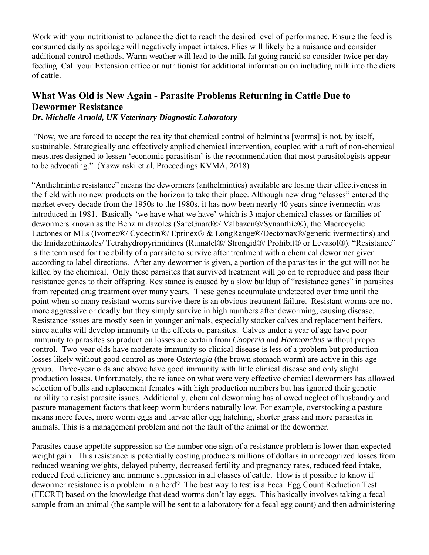Work with your nutritionist to balance the diet to reach the desired level of performance. Ensure the feed is consumed daily as spoilage will negatively impact intakes. Flies will likely be a nuisance and consider additional control methods. Warm weather will lead to the milk fat going rancid so consider twice per day feeding. Call your Extension office or nutritionist for additional information on including milk into the diets of cattle.

# **What Was Old is New Again - Parasite Problems Returning in Cattle Due to Dewormer Resistance**

*Dr. Michelle Arnold, UK Veterinary Diagnostic Laboratory*

 "Now, we are forced to accept the reality that chemical control of helminths [worms] is not, by itself, sustainable. Strategically and effectively applied chemical intervention, coupled with a raft of non-chemical measures designed to lessen 'economic parasitism' is the recommendation that most parasitologists appear to be advocating." (Yazwinski et al, Proceedings KVMA, 2018)

"Anthelmintic resistance" means the dewormers (anthelmintics) available are losing their effectiveness in the field with no new products on the horizon to take their place. Although new drug "classes" entered the market every decade from the 1950s to the 1980s, it has now been nearly 40 years since ivermectin was introduced in 1981. Basically 'we have what we have' which is 3 major chemical classes or families of dewormers known as the Benzimidazoles (SafeGuard®/ Valbazen®/Synanthic®), the Macrocyclic Lactones or MLs (Ivomec®/ Cydectin®/ Eprinex® & LongRange®/Dectomax®/generic ivermectins) and the Imidazothiazoles/ Tetrahydropyrimidines (Rumatel®/ Strongid®/ Prohibit® or Levasol®). "Resistance" is the term used for the ability of a parasite to survive after treatment with a chemical dewormer given according to label directions. After any dewormer is given, a portion of the parasites in the gut will not be killed by the chemical. Only these parasites that survived treatment will go on to reproduce and pass their resistance genes to their offspring. Resistance is caused by a slow buildup of "resistance genes" in parasites from repeated drug treatment over many years. These genes accumulate undetected over time until the point when so many resistant worms survive there is an obvious treatment failure. Resistant worms are not more aggressive or deadly but they simply survive in high numbers after deworming, causing disease. Resistance issues are mostly seen in younger animals, especially stocker calves and replacement heifers, since adults will develop immunity to the effects of parasites. Calves under a year of age have poor immunity to parasites so production losses are certain from *Cooperia* and *Haemonchus* without proper control. Two-year olds have moderate immunity so clinical disease is less of a problem but production losses likely without good control as more *Ostertagia* (the brown stomach worm) are active in this age group. Three-year olds and above have good immunity with little clinical disease and only slight production losses. Unfortunately, the reliance on what were very effective chemical dewormers has allowed selection of bulls and replacement females with high production numbers but has ignored their genetic inability to resist parasite issues. Additionally, chemical deworming has allowed neglect of husbandry and pasture management factors that keep worm burdens naturally low. For example, overstocking a pasture means more feces, more worm eggs and larvae after egg hatching, shorter grass and more parasites in animals. This is a management problem and not the fault of the animal or the dewormer.

Parasites cause appetite suppression so the number one sign of a resistance problem is lower than expected weight gain. This resistance is potentially costing producers millions of dollars in unrecognized losses from reduced weaning weights, delayed puberty, decreased fertility and pregnancy rates, reduced feed intake, reduced feed efficiency and immune suppression in all classes of cattle. How is it possible to know if dewormer resistance is a problem in a herd? The best way to test is a Fecal Egg Count Reduction Test (FECRT) based on the knowledge that dead worms don't lay eggs. This basically involves taking a fecal sample from an animal (the sample will be sent to a laboratory for a fecal egg count) and then administering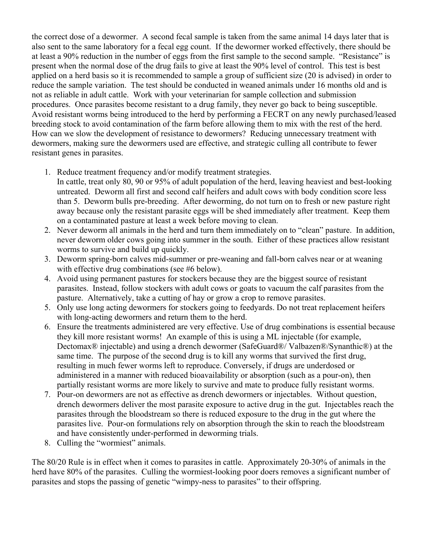the correct dose of a dewormer. A second fecal sample is taken from the same animal 14 days later that is also sent to the same laboratory for a fecal egg count. If the dewormer worked effectively, there should be at least a 90% reduction in the number of eggs from the first sample to the second sample. "Resistance" is present when the normal dose of the drug fails to give at least the 90% level of control. This test is best applied on a herd basis so it is recommended to sample a group of sufficient size (20 is advised) in order to reduce the sample variation. The test should be conducted in weaned animals under 16 months old and is not as reliable in adult cattle. Work with your veterinarian for sample collection and submission procedures. Once parasites become resistant to a drug family, they never go back to being susceptible. Avoid resistant worms being introduced to the herd by performing a FECRT on any newly purchased/leased breeding stock to avoid contamination of the farm before allowing them to mix with the rest of the herd. How can we slow the development of resistance to dewormers? Reducing unnecessary treatment with dewormers, making sure the dewormers used are effective, and strategic culling all contribute to fewer resistant genes in parasites.

- 1. Reduce treatment frequency and/or modify treatment strategies.
- In cattle, treat only 80, 90 or 95% of adult population of the herd, leaving heaviest and best-looking untreated. Deworm all first and second calf heifers and adult cows with body condition score less than 5. Deworm bulls pre-breeding. After deworming, do not turn on to fresh or new pasture right away because only the resistant parasite eggs will be shed immediately after treatment. Keep them on a contaminated pasture at least a week before moving to clean.
- 2. Never deworm all animals in the herd and turn them immediately on to "clean" pasture. In addition, never deworm older cows going into summer in the south. Either of these practices allow resistant worms to survive and build up quickly.
- 3. Deworm spring-born calves mid-summer or pre-weaning and fall-born calves near or at weaning with effective drug combinations (see #6 below).
- 4. Avoid using permanent pastures for stockers because they are the biggest source of resistant parasites. Instead, follow stockers with adult cows or goats to vacuum the calf parasites from the pasture. Alternatively, take a cutting of hay or grow a crop to remove parasites.
- 5. Only use long acting dewormers for stockers going to feedyards. Do not treat replacement heifers with long-acting dewormers and return them to the herd.
- 6. Ensure the treatments administered are very effective. Use of drug combinations is essential because they kill more resistant worms! An example of this is using a ML injectable (for example, Dectomax® injectable) and using a drench dewormer (SafeGuard®/ Valbazen®/Synanthic®) at the same time. The purpose of the second drug is to kill any worms that survived the first drug, resulting in much fewer worms left to reproduce. Conversely, if drugs are underdosed or administered in a manner with reduced bioavailability or absorption (such as a pour-on), then partially resistant worms are more likely to survive and mate to produce fully resistant worms.
- 7. Pour-on dewormers are not as effective as drench dewormers or injectables. Without question, drench dewormers deliver the most parasite exposure to active drug in the gut. Injectables reach the parasites through the bloodstream so there is reduced exposure to the drug in the gut where the parasites live. Pour-on formulations rely on absorption through the skin to reach the bloodstream and have consistently under-performed in deworming trials.
- 8. Culling the "wormiest" animals.

The 80/20 Rule is in effect when it comes to parasites in cattle. Approximately 20-30% of animals in the herd have 80% of the parasites. Culling the wormiest-looking poor doers removes a significant number of parasites and stops the passing of genetic "wimpy-ness to parasites" to their offspring.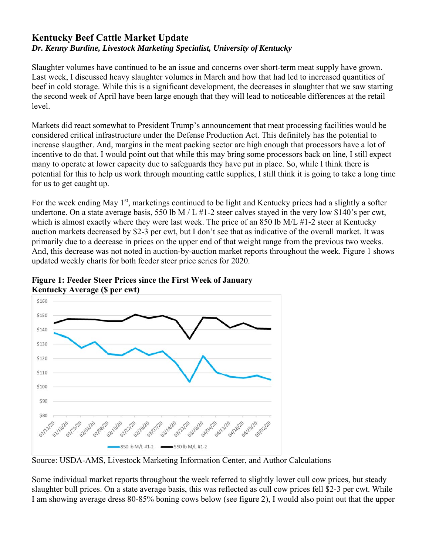# **Kentucky Beef Cattle Market Update** *Dr. Kenny Burdine, Livestock Marketing Specialist, University of Kentucky*

Slaughter volumes have continued to be an issue and concerns over short-term meat supply have grown. Last week, I discussed heavy slaughter volumes in March and how that had led to increased quantities of beef in cold storage. While this is a significant development, the decreases in slaughter that we saw starting the second week of April have been large enough that they will lead to noticeable differences at the retail level.

Markets did react somewhat to President Trump's announcement that meat processing facilities would be considered critical infrastructure under the Defense Production Act. This definitely has the potential to increase slaugther. And, margins in the meat packing sector are high enough that processors have a lot of incentive to do that. I would point out that while this may bring some processors back on line, I still expect many to operate at lower capacity due to safeguards they have put in place. So, while I think there is potential for this to help us work through mounting cattle supplies, I still think it is going to take a long time for us to get caught up.

For the week ending May  $1<sup>st</sup>$ , marketings continued to be light and Kentucky prices had a slightly a softer undertone. On a state average basis, 550 lb M / L  $#1$ -2 steer calves stayed in the very low \$140's per cwt, which is almost exactly where they were last week. The price of an 850 lb M/L #1-2 steer at Kentucky auction markets decreased by \$2-3 per cwt, but I don't see that as indicative of the overall market. It was primarily due to a decrease in prices on the upper end of that weight range from the previous two weeks. And, this decrease was not noted in auction-by-auction market reports throughout the week. Figure 1 shows updated weekly charts for both feeder steer price series for 2020.



**Figure 1: Feeder Steer Prices since the First Week of January Kentucky Average (\$ per cwt)** 

Source: USDA-AMS, Livestock Marketing Information Center, and Author Calculations

Some individual market reports throughout the week referred to slightly lower cull cow prices, but steady slaughter bull prices. On a state average basis, this was reflected as cull cow prices fell \$2-3 per cwt. While I am showing average dress 80-85% boning cows below (see figure 2), I would also point out that the upper